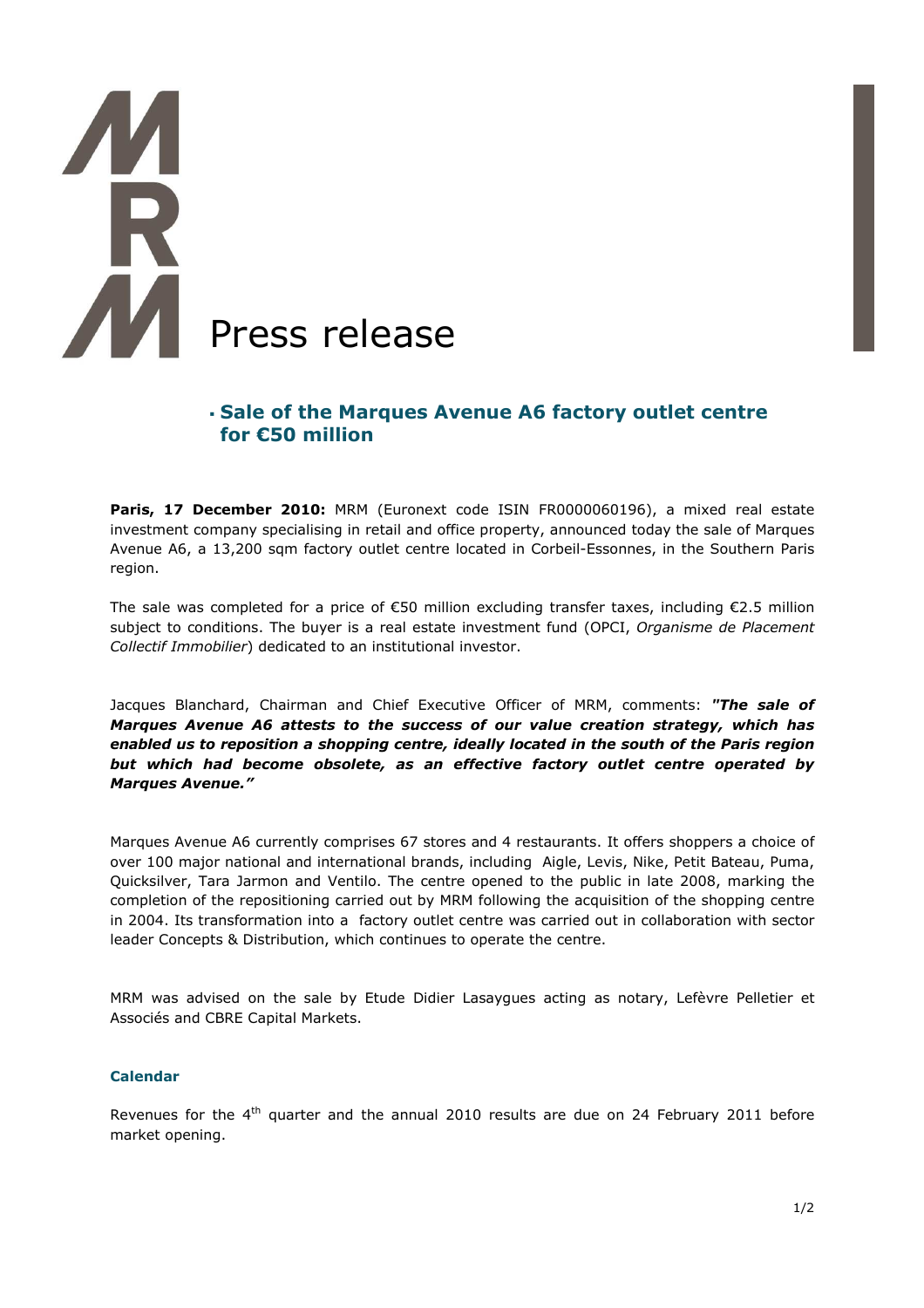# **TA** í Press release

# **Sale of the Marques Avenue A6 factory outlet centre for €50 million**

**Paris, 17 December 2010:** MRM (Euronext code ISIN FR0000060196), a mixed real estate investment company specialising in retail and office property, announced today the sale of Marques Avenue A6, a 13,200 sqm factory outlet centre located in Corbeil-Essonnes, in the Southern Paris region.

The sale was completed for a price of €50 million excluding transfer taxes, including €2.5 million subject to conditions. The buyer is a real estate investment fund (OPCI, *Organisme de Placement Collectif Immobilier*) dedicated to an institutional investor.

Jacques Blanchard, Chairman and Chief Executive Officer of MRM, comments: *"The sale of Marques Avenue A6 attests to the success of our value creation strategy, which has enabled us to reposition a shopping centre, ideally located in the south of the Paris region but which had become obsolete, as an effective factory outlet centre operated by Marques Avenue."* 

Marques Avenue A6 currently comprises 67 stores and 4 restaurants. It offers shoppers a choice of over 100 major national and international brands, including Aigle, Levis, Nike, Petit Bateau, Puma, Quicksilver, Tara Jarmon and Ventilo. The centre opened to the public in late 2008, marking the completion of the repositioning carried out by MRM following the acquisition of the shopping centre in 2004. Its transformation into a factory outlet centre was carried out in collaboration with sector leader Concepts & Distribution, which continues to operate the centre.

MRM was advised on the sale by Etude Didier Lasaygues acting as notary, Lefèvre Pelletier et Associés and CBRE Capital Markets.

### **Calendar**

Revenues for the  $4<sup>th</sup>$  quarter and the annual 2010 results are due on 24 February 2011 before market opening.